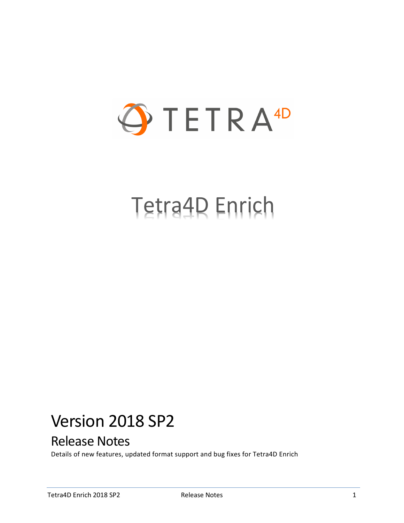

# Tetra4D Enrich

## Version 2018 SP2

## Release Notes

Details of new features, updated format support and bug fixes for Tetra4D Enrich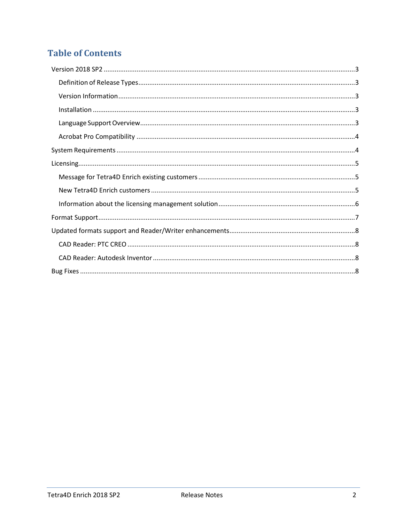## **Table of Contents**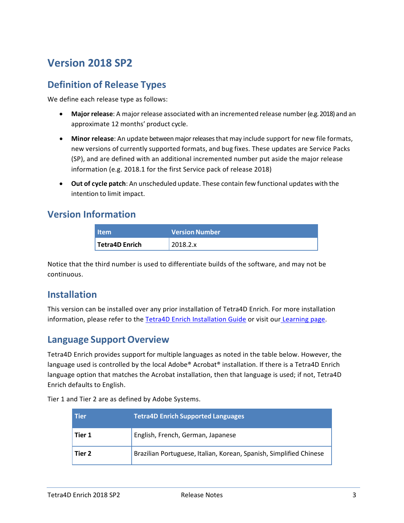## <span id="page-2-0"></span>**Version 2018 SP2**

#### <span id="page-2-1"></span>**Definition of Release Types**

We define each release type as follows:

- **Major release**: A major release associated with an incremented release number (e.g. 2018) and an approximate 12 months' product cycle.
- **Minor release**: An update betweenmajorreleasesthat may include support for new file formats, new versions of currently supported formats, and bug fixes. These updates are Service Packs (SP), and are defined with an additional incremented number put aside the major release information (e.g. 2018.1 for the first Service pack of release 2018)
- **Out of cycle patch**: An unscheduled update. These contain few functional updates with the intention to limit impact.

#### <span id="page-2-2"></span>**Version Information**

| <b>Item</b>           | <b>Version Number</b> |
|-----------------------|-----------------------|
| <b>Tetra4D Enrich</b> | 2018.2.x              |

Notice that the third number is used to differentiate builds of the software, and may not be continuous.

#### <span id="page-2-3"></span>**Installation**

This version can be installed over any prior installation of Tetra4D Enrich. For more installation information, please refer to the Tetra4D Enrich [Installation Guide](http://www.tetra4d.com/documentation/) or visit our [Learning page.](http://tetra4d.com/learning/)

#### <span id="page-2-4"></span>**Language Support Overview**

Tetra4D Enrich provides support for multiple languages as noted in the table below. However, the language used is controlled by the local Adobe® Acrobat® installation. If there is a Tetra4D Enrich language option that matches the Acrobat installation, then that language is used; if not, Tetra4D Enrich defaults to English.

Tier 1 and Tier 2 are as defined by Adobe Systems.

| <b>Tier</b> | <b>Tetra4D Enrich Supported Languages</b>                          |  |
|-------------|--------------------------------------------------------------------|--|
| Tier 1      | English, French, German, Japanese                                  |  |
| Tier 2      | Brazilian Portuguese, Italian, Korean, Spanish, Simplified Chinese |  |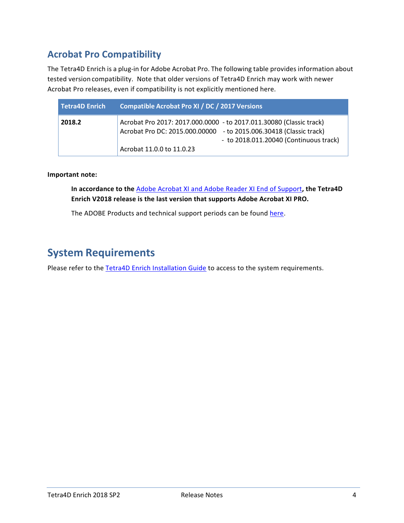## <span id="page-3-0"></span>**Acrobat Pro Compatibility**

The Tetra4D Enrich is a plug-in for Adobe Acrobat Pro. The following table provides information about tested version compatibility. Note that older versions of Tetra4D Enrich may work with newer Acrobat Pro releases, even if compatibility is not explicitly mentioned here.

| Tetra4D Enrich | <b>Compatible Acrobat Pro XI / DC / 2017 Versions</b>                                                                                                                                                            |
|----------------|------------------------------------------------------------------------------------------------------------------------------------------------------------------------------------------------------------------|
| 2018.2         | Acrobat Pro 2017: 2017.000.0000 - to 2017.011.30080 (Classic track)<br>Acrobat Pro DC: 2015.000.00000 - to 2015.006.30418 (Classic track)<br>- to 2018.011.20040 (Continuous track)<br>Acrobat 11.0.0 to 11.0.23 |

**Important note:**

**In accordance to the** [Adobe Acrobat XI and Adobe Reader XI End of Support](https://theblog.adobe.com/adobe-acrobat-xi-and-adobe-reader-xi-end-of-support/)**, the Tetra4D Enrich V2018 release is the last version that supports Adobe Acrobat XI PRO.**

The ADOBE Products and technical support periods can be found [here.](https://helpx.adobe.com/support/programs/eol-matrix.html)

## <span id="page-3-1"></span>**System Requirements**

Please refer to the **Tetra4D Enrich Installation Guide** to access to the system requirements.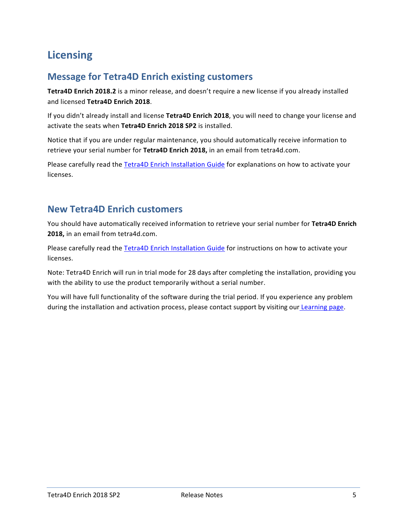## <span id="page-4-0"></span>**Licensing**

## <span id="page-4-1"></span>**Message for Tetra4D Enrich existing customers**

**Tetra4D Enrich 2018.2** is a minor release, and doesn't require a new license if you already installed and licensed **Tetra4D Enrich 2018**.

If you didn't already install and license **Tetra4D Enrich 2018**, you will need to change your license and activate the seats when **Tetra4D Enrich 2018 SP2** is installed.

Notice that if you are under regular maintenance, you should automatically receive information to retrieve your serial number for **Tetra4D Enrich 2018,** in an email from tetra4d.com.

Please carefully read the [Tetra4D Enrich Installation Guide](http://www.tetra4d.com/documentation/) for explanations on how to activate your licenses.

### <span id="page-4-2"></span>**New Tetra4D Enrich customers**

You should have automatically received information to retrieve your serial number for **Tetra4D Enrich 2018,** in an email from tetra4d.com.

Please carefully read the [Tetra4D Enrich Installation Guide](http://www.tetra4d.com/documentation/) for instructions on how to activate your licenses.

Note: Tetra4D Enrich will run in trial mode for 28 days after completing the installation, providing you with the ability to use the product temporarily without a serial number.

You will have full functionality of the software during the trial period. If you experience any problem during the installation and activation process, please contact support by visiting our [Learning page.](http://tetra4d.com/learning/)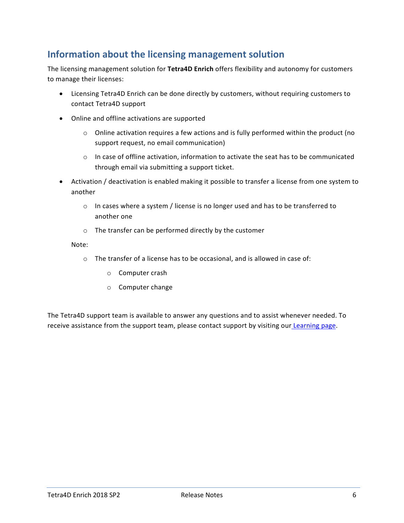## <span id="page-5-0"></span>**Information about the licensing management solution**

The licensing management solution for **Tetra4D Enrich** offers flexibility and autonomy for customers to manage their licenses:

- Licensing Tetra4D Enrich can be done directly by customers, without requiring customers to contact Tetra4D support
- Online and offline activations are supported
	- $\circ$  Online activation requires a few actions and is fully performed within the product (no support request, no email communication)
	- $\circ$  In case of offline activation, information to activate the seat has to be communicated through email via submitting a support ticket.
- Activation / deactivation is enabled making it possible to transfer a license from one system to another
	- $\circ$  In cases where a system / license is no longer used and has to be transferred to another one
	- o The transfer can be performed directly by the customer

#### Note:

- o The transfer of a license has to be occasional, and is allowed in case of:
	- o Computer crash
	- o Computer change

The Tetra4D support team is available to answer any questions and to assist whenever needed. To receive assistance from the support team, please contact support by visiting our [Learning page.](http://tetra4d.com/learning/)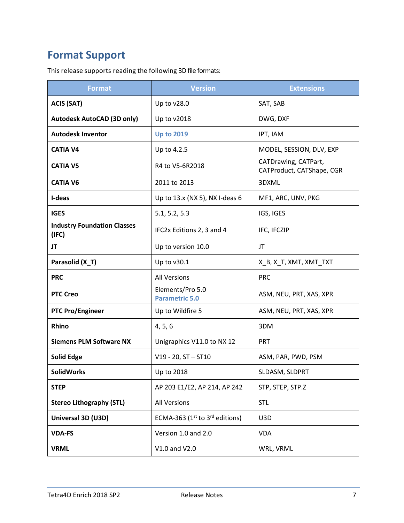## <span id="page-6-0"></span>**Format Support**

This release supports reading the following 3D file formats:

| <b>Format</b>                               | <b>Version</b>                            | <b>Extensions</b>                                 |
|---------------------------------------------|-------------------------------------------|---------------------------------------------------|
| <b>ACIS (SAT)</b>                           | Up to v28.0                               | SAT, SAB                                          |
| <b>Autodesk AutoCAD (3D only)</b>           | Up to v2018                               | DWG, DXF                                          |
| <b>Autodesk Inventor</b>                    | <b>Up to 2019</b>                         | IPT, IAM                                          |
| <b>CATIA V4</b>                             | Up to 4.2.5                               | MODEL, SESSION, DLV, EXP                          |
| <b>CATIA V5</b>                             | R4 to V5-6R2018                           | CATDrawing, CATPart,<br>CATProduct, CATShape, CGR |
| <b>CATIA V6</b>                             | 2011 to 2013                              | 3DXML                                             |
| I-deas                                      | Up to 13.x (NX 5), NX I-deas 6            | MF1, ARC, UNV, PKG                                |
| <b>IGES</b>                                 | 5.1, 5.2, 5.3                             | IGS, IGES                                         |
| <b>Industry Foundation Classes</b><br>(IFC) | IFC2x Editions 2, 3 and 4                 | IFC, IFCZIP                                       |
| JT                                          | Up to version 10.0                        | JT                                                |
| Parasolid (X_T)                             | Up to v30.1                               | X_B, X_T, XMT, XMT_TXT                            |
| <b>PRC</b>                                  | <b>All Versions</b>                       | <b>PRC</b>                                        |
| <b>PTC Creo</b>                             | Elements/Pro 5.0<br><b>Parametric 5.0</b> | ASM, NEU, PRT, XAS, XPR                           |
| <b>PTC Pro/Engineer</b>                     | Up to Wildfire 5                          | ASM, NEU, PRT, XAS, XPR                           |
| Rhino                                       | 4, 5, 6                                   | 3DM                                               |
| <b>Siemens PLM Software NX</b>              | Unigraphics V11.0 to NX 12                | <b>PRT</b>                                        |
| <b>Solid Edge</b>                           | $V19 - 20$ , ST $-$ ST10                  | ASM, PAR, PWD, PSM                                |
| <b>SolidWorks</b>                           | Up to 2018                                | SLDASM, SLDPRT                                    |
| <b>STEP</b>                                 | AP 203 E1/E2, AP 214, AP 242              | STP, STEP, STP.Z                                  |
| <b>Stereo Lithography (STL)</b>             | <b>All Versions</b>                       | <b>STL</b>                                        |
| Universal 3D (U3D)                          | ECMA-363 ( $1st$ to $3rd$ editions)       | U3D                                               |
| <b>VDA-FS</b>                               | Version 1.0 and 2.0                       | <b>VDA</b>                                        |
| <b>VRML</b>                                 | V1.0 and V2.0                             | WRL, VRML                                         |